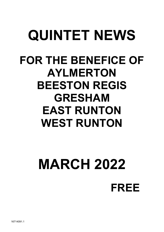# QUINTET NEWS FOR THE BENEFICE OF AYLMERTON BEESTON REGIS GRESHAM EAST RUNTON WEST RUNTON

# MARCH 2022 FREE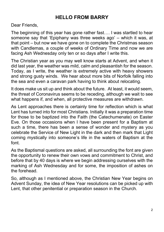#### HELLO FROM BARRY

Dear Friends,

The beginning of this year has gone rather fast…. I was startled to hear someone say that 'Epiphany was three weeks ago' – which it was, at that point – but now we have gone on to complete the Christmas season with Candlemas, a couple of weeks of Ordinary Time and now we are facing Ash Wednesday only ten or so days after I write this.

The Christian year as you may well know starts at Advent, and when it did last year, the weather was mild, calm and pleasantish for the season. Today, as I write, the weather is extremely active with heavy showers and strong gusty winds. We hear about more bits of Norfolk falling into the sea and even a caravan park having to think about relocating.

It does make us sit up and think about the future. At least, it would seem, the threat of Coronavirus seems to be receding, although we wait to see what happens if, and when, all protective measures are withdrawn.

As Lent approaches there is certainly time for reflection which is what Lent has turned into for most Christians. Initially it was a preparation time for those to be baptized into the Faith (the Catechumenate) on Easter Eve. On those occasions when I have been present for a Baptism at such a time, there has been a sense of wonder and mystery as you celebrate the Service of New Light in the dark and then mark that Light coming mystically into someone's life in the waters of Baptism at the font.

As the Baptismal questions are asked, all surrounding the font are given the opportunity to renew their own vows and commitment to Christ, and before that by 40 days is where we begin addressing ourselves with the marking of Ash Wednesday and for some, the imposition of ashes on the forehead.

So, although as I mentioned above, the Christian New Year begins on Advent Sunday, the idea of New Year resolutions can be picked up with Lent, that other penitential or preparation season in the Church.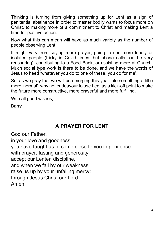Thinking is turning from giving something up for Lent as a sign of penitential abstinence in order to master bodily wants to focus more on Christ, to making more of a commitment to Christ and making Lent a time for positive action.

Now what this can mean will have as much variety as the number of people observing Lent.

It might vary from saying more prayer, going to see more lonely or isolated people (tricky in Covid times! but phone calls can be very reassuring), contributing to a Food Bank, or assisting more at Church. Much social type work is there to be done, and we have the words of Jesus to heed 'whatever you do to one of these, you do for me'.

So, as we pray that we will be emerging this year into something a little more 'normal', why not endeavour to use Lent as a kick-off point to make the future more constructive, more prayerful and more fulfilling.

With all good wishes,

Barry

# A PRAYER FOR LENT

God our Father, in your love and goodness you have taught us to come close to you in penitence with prayer, fasting and generosity; accept our Lenten discipline, and when we fall by our weakness, raise us up by your unfailing mercy; through Jesus Christ our Lord. Amen.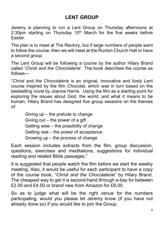# LENT GROUP

Jeremy is planning to run a Lent Group on Thursday afternoons at 2:30pm starting on Thursday 10<sup>th</sup> March for the five weeks before Easter.

The plan is to meet at The Rectory, but if large numbers of people want to follow the course, then we will meet at the Runton Church Hall or have a second group.

The Lent Group will be following a course by the author Hilary Brand called 'Christ and the Chocolaterie'. The book describes the course as follows—

"Christ and the Chocolaterie is an original, innovative and lively Lent course inspired by the film Chocolat, which was in turn based on the bestselling novel by Joanne Harris. Using the film as a starting point for exploring the issues about God, the world, and what it means to be human, Hilary Brand has designed five group sessions on the themes of:

Giving up – the prelude to change Giving out – the power of a gift Getting wise – the possibility of change Getting real – the power of acceptance Growing up – the process of change

Each session includes extracts from the film, group discussion, questions, exercises and meditations, suggestions for individual reading and related Bible passages."

It is suggested that people watch the film before we start the weekly meeting. Also, it would be useful for each participant to have a copy of the course book, "Christ and the Chocolaterie" by Hilary Brand. The cheapest way to get it is second-hand through e-bay for between £2.00 and £4.50 or brand new from Amazon for £6.00.

So as to judge what will be the right venue for the numbers participating, would you please let Jeremy know (if you have not already done so) if you would like to join the Group.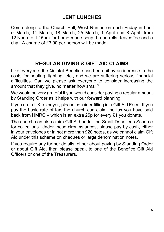#### LENT LUNCHES

Come along to the Church Hall, West Runton on each Friday in Lent (4 March, 11 March, 18 March, 25 March, 1 April and 8 April) from 12 Noon to 1.15pm for home-made soup, bread rolls, tea/coffee and a chat. A charge of £3.00 per person will be made.

#### REGULAR GIVING & GIFT AID CLAIMS

Like everyone, the Quintet Benefice has been hit by an increase in the costs for heating, lighting, etc., and we are suffering serious financial difficulties. Can we please ask everyone to consider increasing the amount that they give, no matter how small?

We would be very grateful if you would consider paying a regular amount by Standing Order as it helps with our forward planning.

If you are a UK taxpayer, please consider filling in a Gift Aid Form. If you pay the basic rate of tax, the church can claim the tax you have paid back from HMRC – which is an extra 25p for every £1 you donate.

The church can also claim Gift Aid under the Small Donations Scheme for collections. Under these circumstances, please pay by cash, either in your envelopes or in not more than £20 notes, as we cannot claim Gift Aid under this scheme on cheques or large denomination notes.

If you require any further details, either about paying by Standing Order or about Gift Aid, then please speak to one of the Benefice Gift Aid Officers or one of the Treasurers.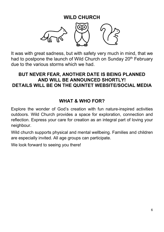#### WILD CHURCH



It was with great sadness, but with safety very much in mind, that we had to postpone the launch of Wild Church on Sunday 20<sup>th</sup> February due to the various storms which we had.

#### BUT NEVER FEAR, ANOTHER DATE IS BEING PLANNED AND WILL BE ANNOUNCED SHORTLY! DETAILS WILL BE ON THE QUINTET WEBSITE/SOCIAL MEDIA

#### WHAT & WHO FOR?

Explore the wonder of God's creation with fun nature-inspired activities outdoors. Wild Church provides a space for exploration, connection and reflection. Express your care for creation as an integral part of loving your neighbour.

Wild church supports physical and mental wellbeing. Families and children are especially invited. All age groups can participate.

We look forward to seeing you there!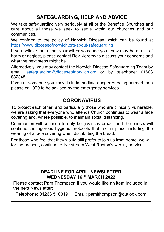# SAFEGUARDING, HELP AND ADVICE

We take safeguarding very seriously at all of the Benefice Churches and care about all those we seek to serve within our churches and our communities.

We conform to the policy of Norwich Diocese which can be found at https://www.dioceseofnorwich.org/about/safeguarding

If you believe that either yourself or someone you know may be at risk of harm or neglect, please contact Rev. Jeremy to discuss your concerns and what the next steps might be.

Alternatively, you may contact the Norwich Diocese Safeguarding Team by email: safeguarding@dioceseofnorwich.org or by telephone: 01603 882345.

If you or someone you know is in immediate danger of being harmed then please call 999 to be advised by the emergency services.

# **CORONAVIRUS**

To protect each other, and particularly those who are clinically vulnerable, we are asking that everyone who attends Church continues to wear a face covering and, where possible, to maintain social distancing.

Communion will continue to only be given as bread, and the priests will continue the rigorous hygiene protocols that are in place including the wearing of a face covering when distributing the bread.

For those who feel that they would still prefer to join us from home, we will, for the present, continue to live stream West Runton's weekly service.

#### DEADLINE FOR APRIL NEWSLETTER WEDNESDAY 16TH MARCH 2022

Please contact Pam Thompson if you would like an item included in the next Newsletter:

Telephone: 01263 510319 Email: pamjthompson@outlook.com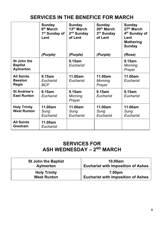# SERVICES IN THE BENEFICE FOR MARCH

|                                                   | Sunday<br>6 <sup>th</sup> March<br>1 <sup>st</sup> Sunday of<br>Lent | Sunday<br>13 <sup>th</sup> March<br>2 <sup>nd</sup> Sunday<br>of Lent | Sunday<br>20 <sup>th</sup> March<br>3rd Sunday<br>of Lent | Sunday<br>27 <sup>th</sup> March<br>4 <sup>th</sup> Sunday of<br>Lent<br><b>Mothering</b><br><b>Sunday</b> |
|---------------------------------------------------|----------------------------------------------------------------------|-----------------------------------------------------------------------|-----------------------------------------------------------|------------------------------------------------------------------------------------------------------------|
|                                                   | (Purple)                                                             | (Purple)                                                              | (Purple)                                                  | (Rose)                                                                                                     |
| St John the<br><b>Baptist</b><br><b>Aylmerton</b> |                                                                      | 9.15am<br>Eucharist                                                   |                                                           | 9.15am<br>Morning<br>Prayer                                                                                |
| <b>All Saints</b><br><b>Beeston</b><br>Regis      | 9.15am<br>Eucharist<br>BCP                                           | 11.00am<br>Eucharist                                                  | 11.00am<br>Morning<br>Prayer                              | 11.00am<br>Eucharist                                                                                       |
| <b>St Andrew's</b><br><b>East Runton</b>          | 9.15am<br>Eucharist                                                  | 9.15am<br>Morning<br>Prayer                                           | 9.15am<br>Eucharist                                       | 9.15am<br>Eucharist                                                                                        |
| <b>Holy Trinity</b><br><b>West Runton</b>         | 11.00am<br>Suna<br>Eucharist                                         | 11.00am<br>Sung<br>Eucharist                                          | 11.00am<br>Sung<br>Eucharist                              | 11.00am<br>Sung<br>Eucharist                                                                               |
| <b>All Saints</b><br>Gresham                      | 11.00am<br>Eucharist                                                 |                                                                       |                                                           |                                                                                                            |

#### SERVICES FOR ASH WEDNESDAY – 2ND MARCH

| <b>St John the Baptist</b> | 10.00am                                   |
|----------------------------|-------------------------------------------|
| Aylmerton                  | <b>Eucharist with Imposition of Ashes</b> |
| <b>Holy Trinity</b>        | 7.00pm                                    |
| <b>West Runton</b>         | <b>Eucharist with Imposition of Ashes</b> |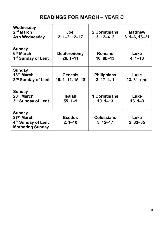# READINGS FOR MARCH – YEAR C

| Wednesday<br>$2nd$ March<br>Ash Wednesday                                         | Joel<br>$2.1 - 2, 12 - 17$        | 2 Corinthians<br>$3.12 - 4.2$       | <b>Matthew</b><br>$6.1 - 6, 16 - 21$ |
|-----------------------------------------------------------------------------------|-----------------------------------|-------------------------------------|--------------------------------------|
| Sunday<br>6 <sup>th</sup> March<br>1 <sup>st</sup> Sunday of Lent                 | <b>Deuteronomy</b><br>$26.1 - 11$ | <b>Romans</b><br>$10.8b-13$         | Luke<br>$4.1 - 13$                   |
| Sunday<br>13 <sup>th</sup> March<br>2 <sup>nd</sup> Sunday of Lent                | <b>Genesis</b><br>15. 1–12, 15–18 | <b>Philippians</b><br>$3.17 - 4.1$  | Luke<br>13.31-end                    |
| Sunday<br>20th March<br>3rd Sunday of Lent                                        | Isaiah<br>$55.1 - 9$              | <b>1 Corinthians</b><br>$10.1 - 13$ | Luke<br>$13.1 - 9$                   |
| Sunday<br>27th March<br>4 <sup>th</sup> Sunday of Lent<br><b>Mothering Sunday</b> | <b>Exodus</b><br>$2.1 - 10$       | <b>Colossians</b><br>$3.12 - 17$    | Luke<br>$2.33 - 35$                  |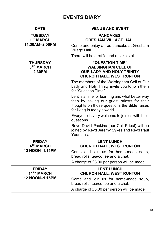# EVENTS DIARY

| <b>DATE</b>                                               | <b>VENUE AND EVENT</b>                                                                                                                                                        |
|-----------------------------------------------------------|-------------------------------------------------------------------------------------------------------------------------------------------------------------------------------|
| <b>TUESDAY</b><br>1 <sup>ST</sup> MARCH<br>11.30AM-2.00PM | <b>PANCAKES!</b><br><b>GRESHAM VILLAGE HALL</b><br>Come and enjoy a free pancake at Gresham<br>Village Hall.                                                                  |
|                                                           | There will be a raffle and a cake stall.                                                                                                                                      |
| <b>THURSDAY</b><br>3RD MARCH<br>2.30PM                    | "QUESTION TIME"<br><b>WALSINGHAM CELL OF</b><br><b>OUR LADY AND HOLY TRINITY</b><br><b>CHURCH HALL, WEST RUNTON</b>                                                           |
|                                                           | The members of the Walsingham Cell of Our<br>Lady and Holy Trinity invite you to join them<br>for "Question Time".                                                            |
|                                                           | Lent is a time for learning and what better way<br>than by asking our guest priests for their<br>thoughts on those questions the Bible raises<br>for living in today's world. |
|                                                           | Everyone is very welcome to join us with their<br>questions.                                                                                                                  |
|                                                           | Revd David Paskins (our Cell Priest) will be<br>joined by Revd Jeremy Sykes and Revd Paul<br>Yeomans.                                                                         |
| <b>FRIDAY</b><br>4TH MARCH                                | <b>LENT LUNCH</b><br><b>CHURCH HALL, WEST RUNTON</b>                                                                                                                          |
| 12 NOON-1.15PM                                            | Come and join us for home-made soup,<br>bread rolls, tea/coffee and a chat.                                                                                                   |
|                                                           | A charge of £3.00 per person will be made.                                                                                                                                    |
| <b>FRIDAY</b><br>11 <sup>TH</sup> MARCH                   | <b>LENT LUNCH</b><br><b>CHURCH HALL, WEST RUNTON</b>                                                                                                                          |
| 12 NOON-1.15PM                                            | Come and join us for home-made soup,<br>bread rolls, tea/coffee and a chat.                                                                                                   |
|                                                           | A charge of £3.00 per person will be made.                                                                                                                                    |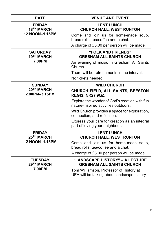| <b>DATE</b>                               | <b>VENUE AND EVENT</b>                                                                 |
|-------------------------------------------|----------------------------------------------------------------------------------------|
| <b>FRIDAY</b><br>18 <sup>TH</sup> MARCH   | <b>LENT LUNCH</b><br><b>CHURCH HALL, WEST RUNTON</b>                                   |
| 12 NOON-1.15PM                            | Come and join us for home-made soup,<br>bread rolls, tea/coffee and a chat.            |
|                                           | A charge of £3.00 per person will be made.                                             |
| <b>SATURDAY</b><br>19 <sup>TH</sup> MARCH | "FOLK AND FRIENDS"<br><b>GRESHAM ALL SAINTS CHURCH</b>                                 |
| 7.00PM                                    | An evening of music in Gresham All Saints<br>Church.                                   |
|                                           | There will be refreshments in the interval.<br>No tickets needed.                      |
| <b>SUNDAY</b>                             | <b>WILD CHURCH</b>                                                                     |
| 20TH MARCH<br>2.00PM-3.15PM               | CHURCH FIELD, ALL SAINTS, BEESTON<br>REGIS, NR27 9QZ.                                  |
|                                           | Explore the wonder of God's creation with fun<br>nature-inspired activities outdoors.  |
|                                           | Wild Church provides a space for exploration,<br>connection, and reflection.           |
|                                           | Express your care for creation as an integral<br>part of loving your neighbour.        |
| <b>FRIDAY</b><br>25 <sup>TH</sup> MARCH   | <b>LENT LUNCH</b><br><b>CHURCH HALL, WEST RUNTON</b>                                   |
| 12 NOON-1.15PM                            | Come and join us for home-made soup,<br>bread rolls, tea/coffee and a chat.            |
|                                           | A charge of £3.00 per person will be made.                                             |
| <b>TUESDAY</b><br>29TH MARCH              | "LANDSCAPE HISTORY" - A LECTURE<br><b>GRESHAM ALL SAINTS CHURCH</b>                    |
| 7.00PM                                    | Tom Williamson, Professor of History at<br>UEA will be talking about landscape history |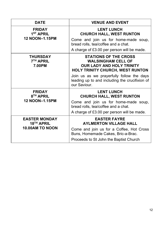| <b>DATE</b>                                    | <b>VENUE AND EVENT</b>                                                                                                                   |
|------------------------------------------------|------------------------------------------------------------------------------------------------------------------------------------------|
| <b>FRIDAY</b><br>$1ST$ APRIL                   | <b>LENT LUNCH</b><br><b>CHURCH HALL, WEST RUNTON</b>                                                                                     |
| 12 NOON-1.15PM                                 | Come and join us for home-made soup,<br>bread rolls, tea/coffee and a chat.                                                              |
|                                                | A charge of £3.00 per person will be made.                                                                                               |
| <b>THURSDAY</b><br>$7TH$ APRIL<br>7.00PM       | <b>STATIONS OF THE CROSS</b><br><b>WALSINGHAM CELL OF</b><br><b>OUR LADY AND HOLY TRINITY</b><br><b>HOLY TRINITY CHURCH, WEST RUNTON</b> |
|                                                | Join us as we prayerfully follow the days<br>leading up to and including the crucifixion of<br>our Saviour.                              |
| <b>FRIDAY</b><br>8 <sup>TH</sup> APRIL         | <b>LENT LUNCH</b><br><b>CHURCH HALL, WEST RUNTON</b>                                                                                     |
| 12 NOON-1.15PM                                 | Come and join us for home-made soup,<br>bread rolls, tea/coffee and a chat.                                                              |
|                                                | A charge of £3.00 per person will be made.                                                                                               |
| <b>EASTER MONDAY</b><br>18 <sup>TH</sup> APRIL | <b>EASTER FAYRE</b><br><b>AYLMERTON VILLAGE HALL</b>                                                                                     |
| <b>10.00AM TO NOON</b>                         | Come and join us for a Coffee, Hot Cross<br>Buns, Homemade Cakes, Bric-a-Brac.                                                           |
|                                                | Proceeds to St John the Baptist Church                                                                                                   |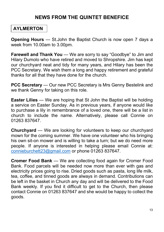#### NEWS FROM THE QUINTET BENEFICE

#### AYLMERTON

Opening Hours — St.John the Baptist Church is now open 7 days a week from 10.00am to 3.00pm.

Farewell and Thank You — We are sorry to say "Goodbye" to Jim and Hilary Dumolo who have retired and moved to Shropshire. Jim has kept our churchyard neat and tidy for many years, and Hilary has been the PCC Secretary. We wish them a long and happy retirement and grateful thanks for all that they have done for the church.

PCC Secretary — Our new PCC Secretary is Mrs Genny Bestelink and we thank Genny for taking on this role.

Easter Lilies — We are hoping that St John the Baptist will be holding a service on Easter Sunday. As in previous years, if anyone would like to purchase a lily in remembrance of a loved one, there will be a list in church to include the name. Alternatively, please call Connie on 01263 837647.

Churchyard — We are looking for volunteers to keep our churchyard mown for the coming summer. We have one volunteer who his bringing his own sit-on mower and is willing to take a turn; but we do need more people. If anyone is interested in helping please email Connie at: connieburchett23@gmail.com or phone 01263 837647.

Cromer Food Bank — We are collecting food again for Cromer Food Bank. Food parcels will be needed now more than ever with gas and electricity prices going to rise. Dried goods such as pasta, long life milk, tea, coffee, and tinned goods are always in demand. Contributions can be left in the basket in Church any day and will be delivered to the Food Bank weekly. If you find it difficult to get to the Church, then please contact Connie on 01263 837647 and she would be happy to collect the goods.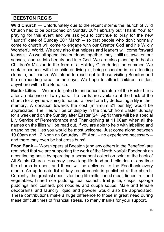#### BEESTON REGIS

Wild Church — Unfortunately due to the recent storms the launch of Wild Church had to be postponed on Sunday 20<sup>th</sup> February but "Thank You" for praying for this event and we ask you to continue to pray for the new "launch" date of Sunday  $20<sup>th</sup>$  March – so that people who don't normally come to church will come to engage with our Creator God and his Wildly Wonderful World. We pray also that helpers and leaders will come forward to assist. As we all spend time outdoors together, may it still us, awaken our senses, lead us into beauty and into God. We are also planning to host a Children's Mission in the form of a Holiday Club during the summer. We seek to connect with the children living in, being schooled in, or attending clubs in, our parish. We intend to reach out to those visiting Beeston and the surrounding area for holidays. We hope to attract children resident anywhere within the Benefice.

Easter Lilies — We are delighted to announce the return of the Easter Lilies after an absence of two years. The cards are available at the back of the church for anyone wishing to honour a loved one by dedicating a lily in their memory. A donation towards the cost (minimum £1 per lily) would be appreciated. The lilies will be on display in the church from Easter Sunday for a week and on the Sunday after Easter  $(24<sup>th</sup>$  April) there will be a special Lily Service of Remembrance and Thanksgiving at 11.00am when all the names on the lilies will be read out. If you are able to help with labelling and arranging the lilies you would be most welcome. Just come along between 10.00am and 12 Noon on Saturday 16<sup>th</sup> April – no experience necessary – and there may even be hot cross buns!

Food Bank — Worshippers at Beeston (and any others in the Benefice) are reminded that we are supporting the work of the North Norfolk Foodbank on a continuing basis by operating a permanent collection point at the back of All Saints Church. You may leave long-life food and toiletries at any time the church is open, and these will be delivered to the Foodbank every month. An up-to-date list of key requirements is published at the church. Currently, the greatest need is for long-life milk, tinned meat, tinned fruit and vegetables, tinned rice pudding, tea, squash, fruit juice, crisps, sponge puddings and custard, pot noodles and cuppa soups. Male and female deodorants and laundry liquid and powder would also be appreciated. These contributions make a huge difference to those in great need during these difficult times of financial stress, so many thanks for your support.